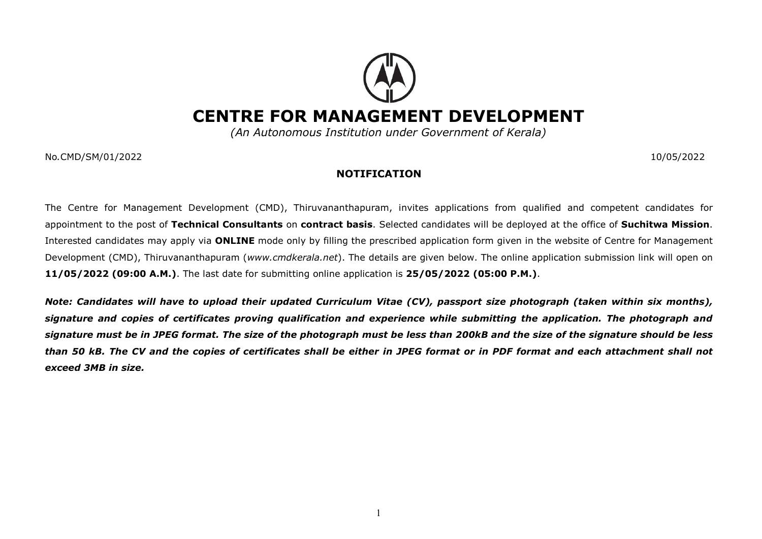## CENTRE FOR MANAGEMENT DEVELOPMENT

(An Autonomous Institution under Government of Kerala)

No.CMD/SM/01/2022 10/05/2022

## NOTIFICATION

The Centre for Management Development (CMD), Thiruvananthapuram, invites applications from qualified and competent candidates for appointment to the post of Technical Consultants on contract basis. Selected candidates will be deployed at the office of Suchitwa Mission. Interested candidates may apply via **ONLINE** mode only by filling the prescribed application form given in the website of Centre for Management Development (CMD), Thiruvananthapuram (www.cmdkerala.net). The details are given below. The online application submission link will open on 11/05/2022 (09:00 A.M.). The last date for submitting online application is 25/05/2022 (05:00 P.M.).

Note: Candidates will have to upload their updated Curriculum Vitae (CV), passport size photograph (taken within six months), signature and copies of certificates proving qualification and experience while submitting the application. The photograph and signature must be in JPEG format. The size of the photograph must be less than 200kB and the size of the signature should be less than 50 kB. The CV and the copies of certificates shall be either in JPEG format or in PDF format and each attachment shall not exceed 3MB in size.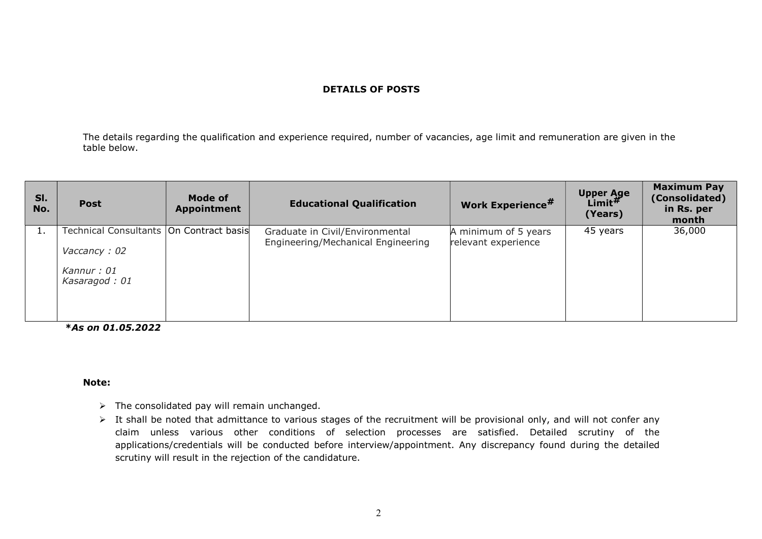## DETAILS OF POSTS

The details regarding the qualification and experience required, number of vacancies, age limit and remuneration are given in the table below.

| SI.<br>No. | <b>Post</b>                                                                              | Mode of<br><b>Appointment</b> | <b>Educational Qualification</b>                                      | <b>Work Experience#</b>                     | <b>Upper Age</b><br>Limit $^{\#}$<br>(Years) | <b>Maximum Pay</b><br>(Consolidated)<br>in Rs. per<br>month |
|------------|------------------------------------------------------------------------------------------|-------------------------------|-----------------------------------------------------------------------|---------------------------------------------|----------------------------------------------|-------------------------------------------------------------|
|            | Technical Consultants   On Contract basis<br>Vaccancy: 02<br>Kannur: 01<br>Kasaragod: 01 |                               | Graduate in Civil/Environmental<br>Engineering/Mechanical Engineering | A minimum of 5 years<br>relevant experience | 45 years                                     | 36,000                                                      |

\*As on 01.05.2022

## Note:

- $\triangleright$  The consolidated pay will remain unchanged.
- > It shall be noted that admittance to various stages of the recruitment will be provisional only, and will not confer any claim unless various other conditions of selection processes are satisfied. Detailed scrutiny of the applications/credentials will be conducted before interview/appointment. Any discrepancy found during the detailed scrutiny will result in the rejection of the candidature.